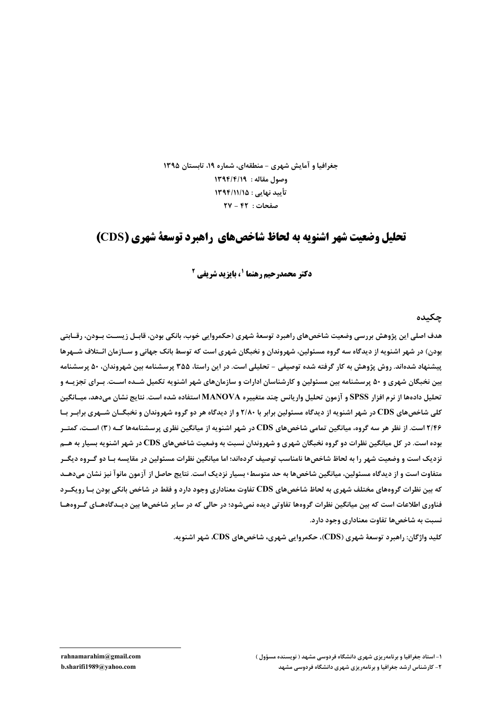جغرافیا و آمایش شهری - منطقهای، شماره ۱۹، تابستان ۱۳۹۵ وصول مقاله : ١٣٩٤/٤/١ تأييد نهايي : ١٣٩٤/١١/١٥  $\mathsf{Y} \mathsf{V} - \mathsf{F} \mathsf{Y}$ : صفحات

# تحلیل وضعیت شهر اشنویه به لحاظ شاخص های راهیرد توسعهٔ شهری (CDS)

**دکتر محمدرحیم رهنما '، یایزید شریفی آ** 

چکىدە

هدف اصلي اين پژوهش بررسي وضعيت شاخصهاي راهبرد توسعهٔ شهري (حکمروايي خوب، بانکي بودن، قابــل زيســت بــودن، رقــابتي بودن) در شهر اشنویه از دیدگاه سه گروه مسئولین، شهروندان و نخبگان شهری است که توسط بانک جهانی و سـازمان ائـتلاف شــهرها پیشنهاد شدهاند. روش پژوهش به کار گرفته شده توصیفی – تحلیلی است. در این راستا، ۳۵۵ پرسشنامه بین شهروندان، ۵۰ پرسشنامه بین نخبگان شهری و ۵۰ پرسشنامه بین مسئولین و کارشناسان ادارات و سازمانهای شهر اشنویه تکمیل شــده اسـت. بــرای تجزیــه و تحلیل دادهها از نرم افزار SPSS و آزمون تحلیل واریانس چند متغییره MANOVA استفاده شده است. نتایج نشان میدهد، میسانگین کلی شاخص های CDS در شهر اشنویه از دیدگاه مسئولین برابر با ۲/۸۰ و از دیدگاه هر دو گروه شهروندان و نخبگــان شــهری برابــر بــا ۲/۴۶ است. از نظر هر سه گروه، میانگین تمامی شاخصهای CDS در شهر اشنویه از میانگین نظری پرسشنامهها کــه (۳) اســت، کمتــر بوده است. در کل میانگین نظرات دو گروه نخبگان شهری و شهروندان نسبت به وضعیت شاخصهای CDS در شهر اشنویه بسیار به هــم نزدیک است و وضعیت شهر را به لحاظ شاخصها نامناسب توصیف کردهاند؛ اما میانگین نظرات مسئولین در مقایسه بـا دو گـروه دیگـر متفاوت است و از دیدگاه مسئولین، میانگین شاخصها به حد متوسط٬ بسیار نزدیک است. نتایج حاصل از آزمون مانوآ نیز نشان میدهــد که بین نظرات گروههای مختلف شهری به لحاظ شاخصهای CDS تفاوت معناداری وجود دارد و فقط در شاخص بانکی بودن بـا رویکـرد فناوری اطلاعات است که بین میانگین نظرات گروهها تفاوتی دیده نمیشود؛ در حالی که در سایر شاخصها بین دیـدگاههـای گـروههـا نسبت به شاخصها تفاوت معناداری وجود دارد.

کلید واژگان: راهبرد توسعهٔ شهری (CDS)، حکمروایی شهری، شاخصهای CDS، شهر اشنویه.

rahnamarahim@gmail.com b.sharifi1989@yahoo.com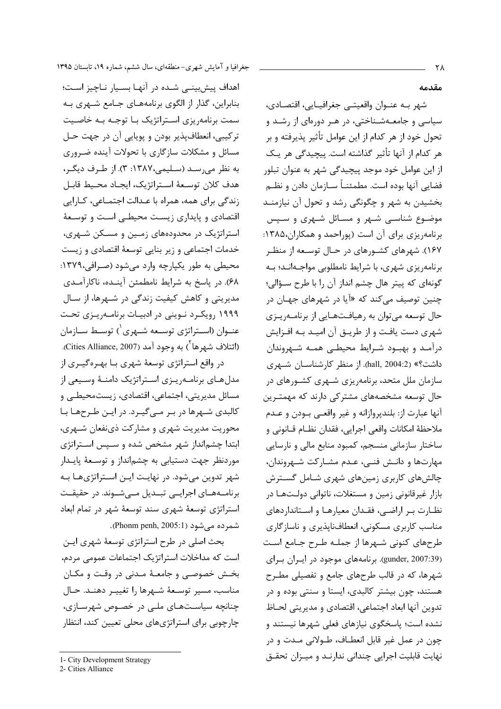اهداف پیش بینے شده در آنهـا بسـیار نـاچیز اسـت؛ بنابراین، گذار از الگوی برنامههـای جـامع شـهری بـه سمت برنامهریزی استراتژیک بـا توجـه بـه خاصـیت ترکیبی، انعطافپذیر بودن و پویایی آن در جهت حـل مسائل و مشکلات سازگاری با تحولات آینده ضـروری به نظر می رسـد (سـلیمی،۱۳۸۷: ۳). از طـرف دیگـر، هدف كلان توسعة استراتژيك، ايجـاد محـيط قابـل زندگی برای همه، همراه با عـدالت اجتمـاعی، کـارایی اقتصادی و پایداری زیست محیطی است و توسعهٔ استراتژیک در محدودههای زمین و مسکن شـهری، خدمات اجتماعی و زیر بنایی توسعهٔ اقتصادی و زیست محيطي به طور يكپارچه وارد مي شود (صرافي،١٣٧٩: ۶۸). در پاسخ به شرایط نامطمئن آینـده، ناکارآمـدی مدیریتی و کاهش کیفیت زندگی در شـهرها، از سـال ۱۹۹۹ رویکرد نـوینی در ادبیـات برنامـهریـزی تحـت عنــوان (اســتراتژي توسـعه شــهري ٰ) توسـط ســازمان (ائتلاف شهرها<sup>۲</sup>) به وجود آمد (Cities Alliance, 2007).

در واقع استراتژی توسعهٔ شهری بـا بهـرهگیـری از مدلهای برنامهریزی استراتژیک دامنـهٔ وسـیعی از مسائل مدیریتی، اجتماعی، اقتصادی، زیستمحیطے و کالبدی شـهرها در بـر مـی گیـرد. در ایـن طـرحهـا بـا محوریت مدیریت شهری و مشارکت ذینفعان شـهری، ابتدا چشمانداز شهر مشخص شده و سـپس اسـتراتژی موردنظر جهت دستيابي به چشمانداز و توسـعهٔ پايـدار شهر تدوین میشود. در نهایت ایـن اسـتراتژیهـا بـه برنامـههـای اجرایــی تبـدیل مــیشـوند. در حقیقـت استراتژی توسعهٔ شهری سند توسعهٔ شهر در تمام ابعاد شمر ده می شود (Phonm penh, 2005:1).

بحث اصلی در طرح استراتژی توسعهٔ شهری ایـن است که مداخلات استراتژیک اجتماعات عمومی مردم، بخش خصوصبی و جامعـهٔ مـدنی در وقـت و مکـان مناسب، مسير توسعة شهرها را تغييـر دهنـد. حـال چنانچه سیاستهای ملے در خصوص شهرسازی، چارچوبی برای استراتژیهای محلی تعیین کند، انتظار

مقدمه

شهر بـه عنــوان واقعيتــى جغرافيــايى، اقتصـادى، سیاسی و جامعـهشـناختی، در هـر دورهای از رشـد و تحول خود از هر کدام از این عوامل تأثیر پذیرفته و بر هر كدام از آنها تأثير گذاشته است. پيچيدگي هر يـك از این عوامل خود موجد پیچیدگی شهر به عنوان تبلور فضایی آنها بوده است. مطمئنـاً سـازمان دادن و نظـم بخشیدن به شهر و چگونگی رشد و تحول آن نیازمنـد موضـوع شناسـی شـهر و مسـائل شـهری و سـپس برنامه ریزی برای آن است (پوراحمد و همکاران،۱۳۸۵: ۱۶۷). شهرهای کشورهای در حـال توسـعه از منظـر برنامهریزی شهری، با شرایط نامطلوبی مواجـهانـد؛ بـه گونهای که پیتر هال چشم انداز آن را با طرح سـؤالی؛ چنين توصيف مے *ک*ند که «آيا در شهرهاي جهـان در حال توسعه می توان به رهیافتهایی از برنامـهریـزی شهری دست یافت و از طریـق آن امیـد بـه افـزایش درآمـد و بهبـود شـرايط محيطـى همـه شـهروندان داشت؟» (2:2004 hall). از منظر کارشناســان شــهری سازمان ملل متحد، برنامهریزی شـهری کشـورهای در حال توسعه مشخصههای مشترکی دارند که مهمتـرین آنها عبارت از: بلندپروازانه و غير واقعـي بــودن و عــدم ملاحظهٔ امکانات واقعی اجرایی، فقدان نظـام قـانونی و ساختار سازمانی منسجم، کمبود منابع مالی و نارسایی مهارتها و دانـش فنـی، عـدم مشـارکت شـهروندان، چالشهای کاربری زمینهای شهری شـامل گسـترش بازار غیرقانونی زمین و مستغلات، ناتوانی دولـتهـا در نظـارت بـر اراضـی، فقـدان معیارهـا و اسـتانداردهای مناسب کاربری مسکونی، انعطافناپذیری و ناسازگاری طرحهای کنونی شـهرها از جملـه طـرح جـامع اسـت (gunder, 2007:39). برنامههای موجود در ایران برای شهرها، که در قالب طرحهای جامع و تفصیلی مطـرح هستند، چون بیشتر کالبدی، ایستا و سنتی بوده و در تدوين آنها ابعاد اجتماعي، اقتصادي و مديريتي لحـاظ نشده است؛ پاسخگوی نیازهای فعلی شهرها نیستند و چون در عمل غیر قابل انعطـاف، طـولانی مـدت و در نهایت قابلیت اجرایی چندانی ندارنـد و میـزان تحقـق

<sup>1-</sup> City Development Strategy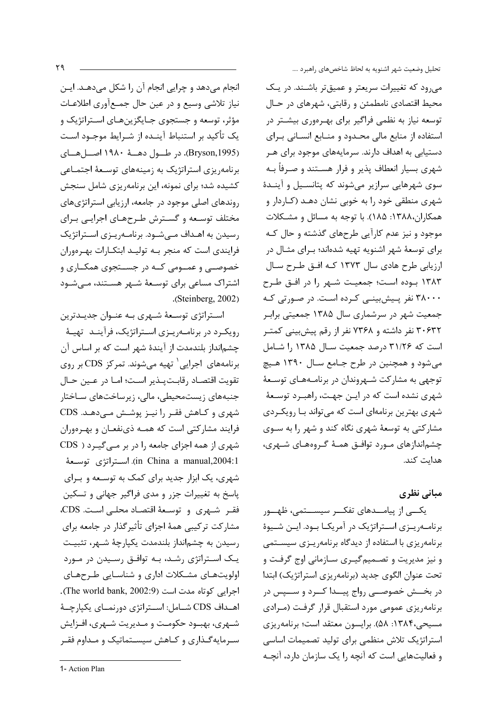انجام میدهد و چرایی انجام آن را شکل میدهـد. ایـن نیاز تلاشی وسیع و در عین حال جمعآوری اطلاعـات مؤثر، توسعه و جستجوی جـایگزینهـای اسـتراتژیک و یک تأکید بر استنباط آینـده از شـرایط موجـود اسـت (Bryson,1995). در طــول دهــهٔ ۱۹۸۰ اصــلهــای برنامهریزی استراتژیک به زمینههای توسعهٔ اجتمـاعی کشیده شد؛ برای نمونه، این برنامهریزی شامل سنجش روندهای اصلی موجود در جامعه، ارزیابی استراتژیهای مختلف توسعه و گسترش طرحهای اجرایی برای رسیدن به اهـداف مــی شــود. برنامــه یــزی اســتراتژیک فرایندی است که منجر بـه تولیـد ابتکـارات بهـرهوران خصوصــی و عمــومی کــه در جســتجوی همکــاری و اشتراک مساعی برای توسعهٔ شـهر هسـتند، مـیشـود .(Steinberg,  $2002$ )

استراتژی توسعهٔ شهری به عنوان جدیدترین رویک رد در برنامه پیزی استراتژیک، فرآیند تهیئه چشمانداز بلندمدت از آیندهٔ شهر است که بر اساس آن برنامههای اجرایی` تهیه میشوند. تمرکز CDS بر روی تقويت اقتصـاد رقابـتپـذير اسـت؛ امـا در عـين حـال جنبههای زیستمحیطی، مالی، زیرساختهای سـاختار شهری و کـاهش فقـر را نيـز پوشـش مـى دهـد. CDS فرایند مشارکتی است که همـه ذینفعـان و بهـرهوران شهری از همه اجزای جامعه را در بر مـی گیـرد ( CDS in China a manual,2004:1). استراتژى توسعهٔ شهری، یک ابزار جدید برای کمک به توسعه و برای پاسخ به تغییرات جزر و مدی فراگیر جهانی و تسکین فقر شهري وتوسعة اقتصاد محلي است. CDS، مشارکت ترکیبی همهٔ اجزای تأثیرگذار در جامعه برای رسيدن به چشمانداز بلندمدت يكيارچهٔ شـهر، تثبيـت یـک اسـتراتژی رشـد، بـه توافـق رسـیدن در مـورد اولویتهای مشکلات اداری و شناسایی طرحهای اجرایی کوتاه مدت است (The world bank, 2002:9). اهـداف CDS شـامل: اسـتراتژى دورنمـاى يكپارچـهٔ شـهري، بهبـود حكومـت و مـديريت شـهري، افـزايش سه مایهگذاری و کاهش سیستماتیک و مـداوم فقـر

تحليل وضعيت شهر اشنويه به لحاظ شاخصهاى راهبرد ....

می رود که تغییرات سریعتر و عمیق تر باشـند. در یـک محیط اقتصادی نامطمئن و رقابتی، شهرهای در حـال توسعه نیاز به نظمی فراگیر برای بهـرهوری بیشـتر در استفاده از منابع مالی محدود و منـابع انسـانی بـرای دستیابی به اهداف دارند. سرمایههای موجود برای هـر شهری بسیار انعطاف پذیر و فرار هسـتند و صـرفأ بـه سوی شهرهایی سرازیر میشوند که پتانسیل و آیندهٔ شهری منطقی خود را به خوبی نشان دهـد (کـاردار و همکاران،۱۳۸۸: ۱۸۵). با توجه به مسائل و مشـکلات موجود و نیز عدم کارآیی طرحهای گذشته و حال کـه برای توسعهٔ شهر اشنویه تهیه شدهاند؛ بـرای مثـال در ارزیابی طرح هادی سال ۱۳۷۳ کـه افـق طـرح سـال ۱۳۸۳ بوده است؛ جمعیت شـهر را در افـق طـرح ۳۸۰۰۰ نفر پیشبینی کرده است. در صورتی که جمعیت شهر در سرشماری سال ۱۳۸۵ جمعیتی برابر ۳۰۶۳۲ نفر داشته و ۷۳۶۸ نفر از رقم پیشبینی کمتـر است که ۳۱/۲۶ درصد جمعیت سال ۱۳۸۵ را شامل می شود و همچنین در طرح جـامع سـال ۱۳۹۰ هـیچ توجهی به مشارکت شـهروندان در برنامـههـای توسـعهٔ شهری نشده است که در ایـن جهـت، راهبـرد توسـعهٔ شهري بهترين برنامهاي است كه مي تواند بــا رويكــردي مشارکتی به توسعهٔ شهری نگاه کند و شهر را به سـوی چشماندازهای مـورد توافـق همـهٔ گـروههـای شـهری، هدایت کند.

### مبانی نظری

یکے از پیامــدهای تفکــر سیســتمی، ظهــور برنامه ریزی استراتژیک در آمریکا بود. این شیوهٔ برنامهریزی با استفاده از دیدگاه برنامهریـزی سیسـتمی و نيز مديريت و تصـميم گيـري سـازماني اوج گرفـت و تحت عنوان الگوی جدید (برنامه, یزی استراتژیک) ابتدا در بخـــش خصوصـــی رواج پیـــدا کـــرد و ســـپس در برنامه ریزی عمومی مورد استقبال قرار گرفت (مـرادی مسيحي،١٣٨۴: ۵۸). برايسون معتقد است؛ برنامه ريزي استراتژیک تلاش منظمی برای تولید تصمیمات اساسی و فعالیتهایی است که آنچه را یک سازمان دارد، آنچـه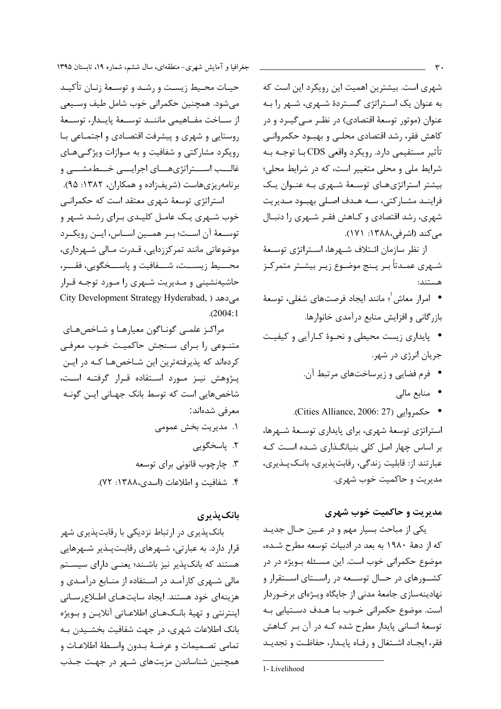شهری است. بیشترین اهمیت این رویکرد این است که به عنوان یک استراتژی گستردهٔ شهری، شهر را بـه عنوان (موتور توسعهٔ اقتصادی) در نظـر مــی گیــرد و در كاهش فقر، رشد اقتصادي محلـى و بهبــود حكمروانــى تأثير مستقيمي دارد. رويكرد واقعي CDS بــا توجــه بــه شرایط ملی و محلی متغییر است، که در شرایط محلی؛ بیشتر استراتژیهای توسعهٔ شهری بـه عنـوان یـک فراينــد مشــاركتي، ســه هــدف اصــلي بهبــود مــديريت شهری، رشد اقتصادی و کـاهش فقـر شـهری را دنبـال می کند (اشرفی،۱۳۸۸: ۱۷۱).

از نظر سازمان ائـتلاف شـهرها، اسـتراتژى توسـعهٔ شــهري عمــدتاً بــر پــنج موضــوع زيــر بيشــتر متمركــز هستند:

- امرار معاش ٰ؛ مانند ایجاد فرصتهای شغلی، توسعهٔ بازر گانی و افزایش منابع درآمدی خانوارها.
- پایداری زیست محیطی و نحـوهٔ کـارآیی و کیفیـت جريان انرژي در شهر.
	- فرم فضایی و زیرساختهای مرتبط آن.
		- منابع مالي
- حكمروايي (Cities Alliance, 2006: 27). استراتژی توسعهٔ شهری، برای پایداری توسعهٔ شـهرها، بر اساس چهار اصل کلی بنیانگذاری شـده اسـت کـه

عبارتند از: قابلیت زندگی، رقابتپذیری، بانکپذیری، مديريت و حاكميت خوب شهري.

### مديريت و حاكميت خوب شهري

یکی از مباحث بسیار مهم و در عـین حـال جدیـد که از دههٔ ۱۹۸۰ به بعد در ادبیات توسعه مطرح شـده، موضوع حکمرانی خوب است. این مسئله بـویژه در در کشــورهای در حــال توســعه در راســتای اســتقرار و نهادینهسازی جامعهٔ مدنی از جایگاه ویـژهای برخـوردار است. موضوع حکمرانی خــوب بــا هــدف دســتيابي بــه توسعهٔ انسانی پایدار مطرح شده کـه در آن بـر کـاهش فقر، ايجـاد اشـتغال و رفـاه پايـدار، حفاظـت و تجديـد

حیـات محـیط زیسـت و رشـد و توسـعهٔ زنـان تأکیـد می شود. همچنین حکمرانی خوب شامل طیف وسیعی از سـاخت مفـاهيمى ماننــد توســعة پايــدار، توســعة روستایی و شهری و پیشرفت اقتصادی و اجتمـاعی بـا رویکرد مشارکتی و شفافیت و به مـوازات ویژگـی هـای غالـــب اســـتراتژیهـــای اجرایـــی خـــطمشـــی و برنامهریزیهاست (شریفزاده و همکاران، ۱۳۸۲: ۹۵). استراتژی توسعهٔ شهری معتقد است که حکمرانبی خوب شـهری یـک عامـل کلیـدی بـرای رشـد شـهر و توسـعهٔ آن اسـت؛ بـر همـين اسـاس، ايـن رويكـرد

موضوعاتی مانند تمرکززدایی، قـدرت مـالی شـهرداری، محـــيط زيســـت، شـــفافيت و پاســـخگويى، فقـــر، حاشیهنشینی و مـدیریت شـهری را مـورد توجـه قـرار City Development Strategy Hyderabad, ) می دهد  $. (2004:1)$ 

مراكز علمي گونـاگون معيارهـا و شـاخصهـاي متنـوعی را بـرای سـنجش حاکمیـت خـوب معرفـی کردهاند که پذیرفتهترین این شـاخصهـا کـه در ایـن پژوهش نیز مورد استفاده قرار گرفته است، شاخصهایی است که توسط بانک جهـانی ایـن گونـه معرفی شدهاند: ١. مديريت بخش عمومي ۲. ياسخگويې ۳. چارچوب قانونی برای توسعه

۴. شفافيت و اطلاعات (اسدى،١٣٨٨: ٧٢).

### بانکیذیری

بانکپذیری در ارتباط نزدیکی با رقابتپذیری شهر قرار دارد. به عبارتی، شـهرهای رقابـتپـذیر شـهرهایی هستند که بانک یذیر نیز باشـند؛ یعنـی دارای سیسـتم مالی شـهری کارآمـد در اسـتفاده از منـابع درآمـدی و هزینهای خود هستند. ایجاد سایتهـای اطـلاِع٫سـانی اينترنتي و تهيهٔ بانـكـهـاي اطلاعـاتي آنلايــن و بـويژه بانک اطلاعات شهری، در جهت شفافیت بخشـیدن بـه تمامي تصـميمات و عرضـهٔ بـدون واسـطهٔ اطلاعـات و همچنین شناساندن مزیتهای شـهر در جهـت جـذب

<sup>1-</sup>Livelihood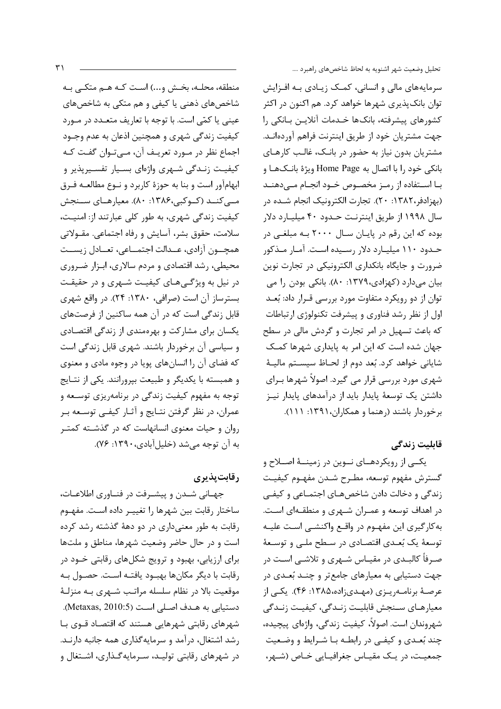منطقه، محلـه، بخـش و...) اسـت كـه هـم متكـبي بـه شاخصهای ذهنی یا کیفی و هم متکی به شاخصهای عینی یا کمّی است. با توجه با تعاریف متعـدد در مـورد کیفیت زندگی شهری و همچنین اذعان به عدم وجـود اجماع نظر در مـورد تعریـف آن، مـیتـوان گفـت کـه کیفیت زنـدگی شـهری واژهای بسـیار تفسـیرپذیر و ابهامآور است و بنا به حوزهٔ کاربرد و نـوع مطالعـه فـرق مے کنــد (کــوکبی،۱۳۸۶: ۸۰). معیارهــای ســنجش کیفیت زندگی شهری، به طور کلی عبارتند از: امنیت، سلامت، حقوق بشر، آسایش و رفاه اجتماعی. مقــولاتی همچــون آزادي، عــدالت اجتمــاعي، تعــادل زيســت محیطی، رشد اقتصادی و مردم سالاری، ابـزار ضـروری در نیل به ویژگیهای کیفیت شـهری و در حقیقت بسترساز آن است (صرافی، ۱۳۸۰: ۲۴). در واقع شهری قابل زندگی است که در آن همه ساکنین از فرصتهای یکسان برای مشارکت و بهرهمندی از زندگی اقتصادی و سیاسی آن برخوردار باشند. شهری قابل زندگی است که فضای آن را انسانهای یویا در وجوه مادی و معنوی و همبسته با یکدیگر و طبیعت بپرورانند. یکی از نتـایج توجه به مفهوم کیفیت زندگی در برنامهریزی توسـعه و عمران، در نظر گرفتن نتـایج و آثـار کیفـی توسـعه بـر روان و حیات معنوی انسانهاست که در گذشته کمتر به آن توجه می شد (خلیل آبادی، ۱۳۹۰: ۷۶).

**رقابت پذیری** 

جهـاني شـدن و پيشـرفت در فنـاوري اطلاعـات، ساختار رقابت بين شهرها را تغييـر داده اسـت. مفهـوم رقابت به طور معنیداری در دو دههٔ گذشته رشد کرده است و در حال حاضر وضعیت شهرها، مناطق و ملتها برای ارزیابی، بهبود و ترویج شکلهای رقابتی خــود در رقابت با دیگر مکانها بهبود یافتـه اسـت. حصـول بـه موقعیت بالا در نظام سلسله مراتب شـهری بـه منزلـهٔ دستيابي به هـدف اصـلي اسـت (Metaxas, 2010:5). شهرهای رقابتی شهرهایی هستند که اقتصـاد قـوی بـا رشد اشتغال، درآمد و سرمایه گذاری همه جانبه دارنـد. در شهرهای رقابتی تولیـد، سـرمایهگـذاری، اشـتغال و

تحليل وضعيت شهر اشنويه به لحاظ شاخصهاى راهبرد ....

سرمایههای مالی و انسانی، کمک زیـادی بـه افـزایش توان بانک پذیری شهرها خواهد کرد. هم اکنون در اکثر كشورهاي ييشرفته، بانكها خـدمات آنلايـن بـانكي را جهت مشتريان خود از طريق اينترنت فراهم آوردهانـد. مشتریان بدون نیاز به حضور در بانـک، غالـب کارهـای بانکی خود را با اتصال به Home Page ویژهٔ بانـکـهـا و بـا اسـتفاده از رمـز مخصـوص خـود انجـام مـىدهنـد (بهزادفر، ۱۳۸۲: ۲۰). تجارت الکترونیک انجام شـده در سال ۱۹۹۸ از طریق اینترنت حـدود ۴۰ میلیـارد دلار بوده که این رقم در پایان سـال ۲۰۰۰ بـه مبلغـی در حـدود ۱۱۰ میلیـارد دلار رسـیده اسـت. آمـار مـذکور ضرورت و جایگاه بانکداری الکترونیکی در تجارت نوین بیان میدارد (کهزادی،۱۳۷۹: ۸۰). بانکی بودن را می توان از دو رویکرد متفاوت مورد بررسی قـرار داد: بُعـد اول از نظر رشد فناوری و پیشرفت تکنولوژی ارتباطات که باعث تسهیل در امر تجارت و گردش مالی در سطح جهان شده است که این امر به پایداری شهرها کمک شایانی خواهد کرد. بُعد دوم از لحـاظ سیسـتم مالیـهٔ شهری مورد بررسی قرار می گیرد. اصولاً شهرها بـرای داشتن یک توسعهٔ پایدار باید از درآمدهای پایدار نیـز برخوردار باشند (رهنما و همکاران، ۱۳۹۱: ۱۱۱).

### قابلىت زندگے ِ

یکــی از رویکردهــای نــوین در زمینــهٔ اصــلاح و گسترش مفهوم توسعه، مطـرح شـدن مفهـوم كيفيـت زندگی و دخالت دادن شاخصهـای اجتمـاعی و کیفـی در اهداف توسعه و عمـران شـهري و منطقـهاي اسـت. به کارگیری این مفهـوم در واقـع واکنشـی اسـت علیـه توسعهٔ یک بُعـدی اقتصـادی در سـطح ملـی و توسـعهٔ صـرفاً کالبـدی در مقیـاس شـهری و تلاشـی اسـت در جهت دستیابی به معیارهای جامعتر و چنـد بُعـدی در عرصـهٔ برنامــهريـزي (مهـديزاده،۱۳۸۵؛ ۴۶). يكـي از معيارهـاي سـنجش قابليـت زنـدگي، كيفيـت زنـدگي شهروندان است. اصولاً، کیفیت زندگی، واژهای پیچیده، چند بُعـدی و کیفـی در رابطـه بـا شـرایط و وضـعیت جمعیت، در یک مقیاس جغرافیایی خاص (شهر،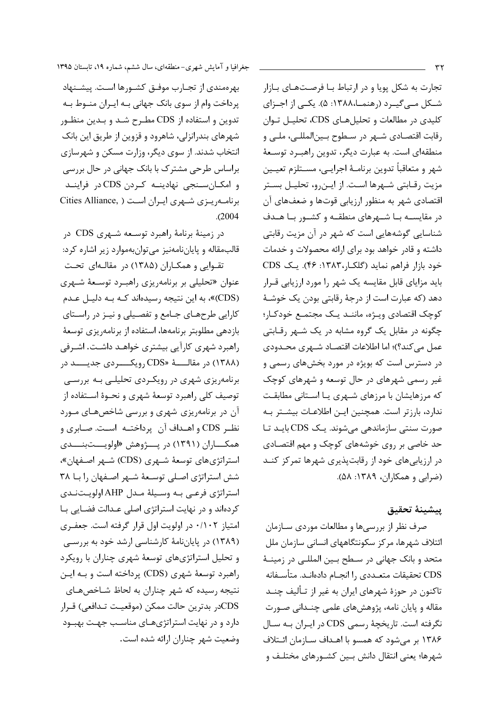تجارت به شکل یویا و در ارتباط بـا فرصـتهـای بـازار شــکل مــیگیــرد (رهنمــا،۱۳۸۸: ۵). یکــی از اجــزای کلیدی در مطالعات و تحلیلهای CDS، تحلیـل تـوان رقابت اقتصـادي شــهر در سـطوح بــين|لمللــي، ملــي و منطقهای است. به عبارت دیگر، تدوین راهب رد توسـعهٔ شهر و متعاقباً تدوين برنامـهٔ اجرايـي، مســتلزم تعيــين مزيت رقـابتي شـهرها اسـت. از ايـن٫و، تحليـل بسـتر اقتصادی شهر به منظور ارزیابی قوتها و ضعفهای آن در مقایســه بــا شــهرهای منطقــه و کشــور بــا هــدف شناسایی گوشههایی است که شهر در آن مزیت رقابتی داشته و قادر خواهد بود برای ارائه محصولات و خدمات خود بازار فراهم نماید (گلک)ر،۱۳۸۳: ۴۶). یک CDS باید مزایای قابل مقایسه یک شهر را مورد ارزیابی قـرار دهد (که عبارت است از درجهٔ رقابتی بودن یک خوشـهٔ كوچك اقتصادي ويـژه، ماننـد يـك مجتمـع خودكـار؛ چگونه در مقابل یک گروه مشابه در یک شـهر رقـابتی عمل می کند؟)؛ اما اطلاعات اقتصـاد شـهری محـدودی در دسترس است که بویژه در مورد بخشهای رسمی و غیر رسمی شهرهای در حال توسعه و شهرهای کوچک که مرزهایشان با مرزهای شـهری یـا اسـتانی مطابقـت ندارد، بارزتر است. همچنین ایـن اطلاعـات بیشـتر بـه صورت سنتی سازماندهی می شوند. یک CDS بایـد تـا حد خاصی بر روی خوشههای کوچک و مهم اقتصـادی در ارزیابی های خود از رقابت پذیری شهرها تمرکز کنــد (ضرابي و همكاران، ١٣٨٩: ۵٨).

#### ييشينة تحقيق

صرف نظر از بررسیها و مطالعات موردی سـازمان ائتلاف شهرها، مركز سكونتگاههاي انساني سازمان ملل متحد و بانک جهانی در سـطح بـین المللـی در زمینـهٔ CDS تحقيقات متعـددي ,ا انجـام دادهانـد. متأسـفانه تاکنون در حوزهٔ شهرهای ایران به غیر از تـألیف چنــد مقاله و پایان نامه، پژوهشهای علمی چنـدانی صـورت نگرفته است. تاریخچهٔ رسمی CDS در ایـران بـه سـال ۱۳۸۶ بر می شود که همسو با اهـداف سـازمان ائـتلاف شهرها؛ يعني انتقال دانش بـين كشـورهاي مختلـف و

بهرهمندی از تجـارب موفـق کشـورها اسـت. پیشـنهاد پرداخت وام از سوی بانک جهانی بـه ایـران منـوط بـه تدوین و استفاده از CDS مطـرح شـد و بـدین منظـور شهرهای بندرانزلی، شاهرود و قزوین از طریق این بانک انتخاب شدند. از سوی دیگر، وزارت مسکن و شهرسازی براساس طرحی مشترک با بانک جهانی در حال بررسی و امکـانسـنجى نهادينـه كـردن CDS در فراينـد برنامه ریبزی شبهری ایبران است ( .Cities Alliance  $. (2004)$ 

در زمینهٔ برنامهٔ راهبرد توسـعه شـهري CDS در قالب مقاله و پایان نامهنیز می توان بهموارد زیر اشاره کرد:

تقــوايي و همكــاران (١٣٨۵) در مقالــهاي تحــت عنوان «تحلیلی بر برنامهریزی راهب د توسـعهٔ شـهری (CDS)»، به این نتیجه رسیدهاند کـه بـه دلیـل عـدم کارایی طرحهـای جـامع و تفصـیلی و نیـز در راسـتای بازدهی مطلوبتر برنامهها، استفاده از برنامهریزی توسعهٔ راهبرد شهری کارآیی بیشتری خواهـد داشـت. اشـرفی (۱۳۸۸) در مقالــــهٔ «CDS رویکـــــردی جدیــــد در برنامهریزی شهری در رویکردی تحلیلی بـه بررسـی توصيف كلي راهبرد توسعهٔ شهري و نحـوهٔ اســتفاده از آن در برنامهریزی شهری و بررسی شاخصهای مـورد نظـر CDS و اهـداف آن پرداختـه اسـت. صـابری و همکـــاران (۱۳۹۱) در پـــژوهش «اولویـــتبنـــدی استراتژیهای توسعهٔ شـهری (CDS) شـهر اصـفهان»، شش استراتژی اصلی توسعهٔ شـهر اصـفهان را بـا ۳۸ استراتژی فرعـی بـه وسـیلهٔ مـدل AHP اولویـتنـدی کردهاند و در نهایت استراتژی اصلی عدالت فضایی با امتیاز ۰/۱۰۲ در اولویت اول قرار گرفته است. جعف ری (۱۳۸۹) در پایان نامهٔ کارشناسی ارشد خود به بررسی و تحلیل استراتژیهای توسعهٔ شهری چناران با رویکرد راهبرد توسعهٔ شهری (CDS) پرداخته است و بـه ایـن نتیجه رسیده که شهر چناران به لحاظ شـاخصهـای CDSدر بدترين حالت ممكن (موقعيت تـدافعي) قـرار دارد و در نهایت استراتژیهای مناسب جهت بهبود وضعيت شهر چناران ارائه شده است.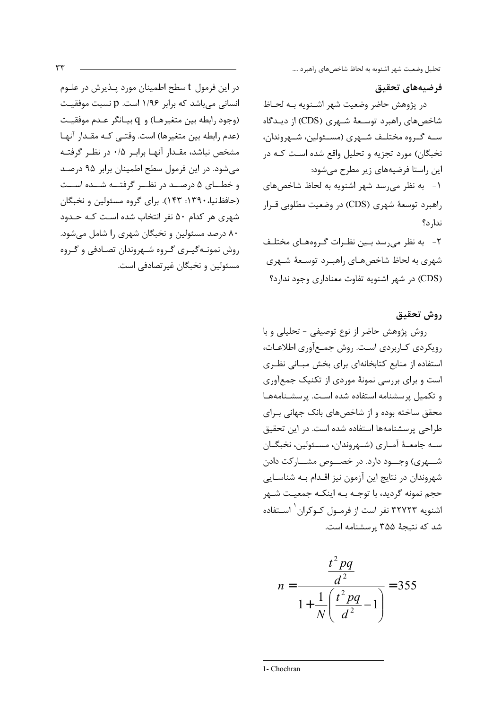تحليل وضعيت شهر اشنويه به لحاظ شاخصهاى راهبرد ....

## فرضيههاى تحقيق

در پژوهش حاضر وضعيت شهر اشـنويه بـه لحـاظ شاخصهای راهبرد توسـعهٔ شـهری (CDS) از دیـدگاه ســه گــروه مختلــف شــهري (مســئولين، شــهروندان، نخبگان) مورد تجزیه و تحلیل واقع شده است کـه در این راستا فرضیههای زیر مطرح می شود: ١- به نظر می رسد شهر اشنویه به لحاظ شاخص های راهبرد توسعهٔ شهري (CDS) در وضعیت مطلوبي قـرار ندا, د؟ ۲- به نظر می رسد بـین نظـرات گـروههـای مختلـف شهری به لحاظ شاخصهـای راهبـرد توسـعهٔ شـهری

(CDS) در شهر اشنویه تفاوت معناداری وجود ندارد؟

# روش تحقيق

روش پژوهش حاضر از نوع توصیفی - تحلیلی و با رویکردی کـاربردی اسـت. روش جمـع آوری اطلاعـات، استفاده از منابع کتابخانهای برای بخش مبـانی نظـری است و برای بررسی نمونهٔ موردی از تکنیک جمعآوری وتكميل پرسشنامه استفاده شده است. پرسشنامهها محقق ساخته بوده و از شاخص های بانک جهانی بـرای طراحی پرسشنامهها استفاده شده است. در این تحقیق سـه جامعـهٔ آمـاري (شـهروندان، مسـئولين، نخبگـان شــهري) وجــود دارد. در خصــوص مشــاركت دادن شهروندان در نتایج این آزمون نیز اقـدام بـه شناسـایی حجم نمونه گرديد، با توجــه بــه اينكــه جمعيــت شــهر اشنویه ۳۲۷۲۳ نفر است از فرمــول کــوکران<sup>۱</sup> اســتفاده شد که نتیجهٔ ۳۵۵ پرسشنامه است.

$$
n = \frac{\frac{t^2 pq}{d^2}}{1 + \frac{1}{N} \left(\frac{t^2 pq}{d^2} - 1\right)} = 355
$$

در این فرمول t سطح اطمینان مورد پـذیرش در علـوم انسانی میباشد که برابر ۱/۹۶ است. p نسبت موفقیت (وجود رابطه بين متغيرهـا) و q بيـانگر عـدم موفقيـت (عدم رابطه بين متغيرها) است. وقتـى كـه مقـدار آنهـا مشخص نباشد، مقـدار آنهـا برابـر ۰/۵ در نظـر گرفتـه می شود. در این فرمول سطح اطمینان برابر ۹۵ درصد و خطـای ۵ درصــد در نظــر گرفتــه شــده اســت (حافظ نیا، ۱۳۹۰: ۱۴۳). برای گروه مسئولین و نخبگان شهری هر کدام ۵۰ نفر انتخاب شده است کـه حـدود ۸۰ درصد مسئولین و نخبگان شهری را شامل می شود. روش نمونـهگیـری گـروه شـهروندان تصـادفی و گـروه مسئولين و نخبگان غير تصادفي است.

<sup>1-</sup> Chochran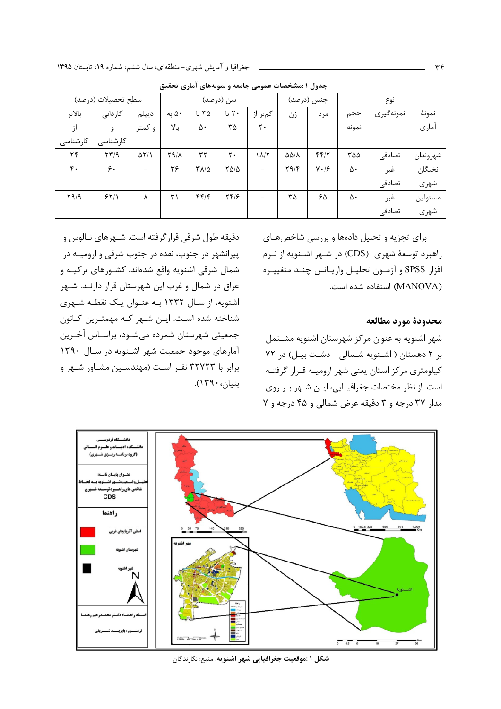|          | سطح تحصيلات (درصد)                      |              |              |                         | سن (درصد)                            |                | جنس (درصد)             |              |       | نوع       |          |
|----------|-----------------------------------------|--------------|--------------|-------------------------|--------------------------------------|----------------|------------------------|--------------|-------|-----------|----------|
| بالاتر   | كاردانى                                 | ديپلم        | ۵۰ به        | ۳۵ تا                   | ۲۰ تا                                | کمتر از        | زن                     | مرد          | حجم   | نمونهگيري | نمونهٔ   |
|          | ۹                                       | و کمتر       | بالا         | ۵۰                      | $\tau\Delta$                         | ٢.             |                        |              | نمونه |           | آماري    |
| كارشناسى | كارشناسى                                |              |              |                         |                                      |                |                        |              |       |           |          |
| ۲۴       | $\mathcal{X} \mathcal{Y} / \mathcal{Y}$ | $\Delta Y/1$ | $Y9/\lambda$ | ٣٢                      | ٢٠                                   | $\lambda/\tau$ | $\Delta\Delta/\lambda$ | FF/Y         | ۳۵۵   | تصادفى    | شهروندان |
| ۴٠       | ۶.                                      | $=$          | ٣۶           | $\Gamma \Lambda/\Delta$ | $Y\Delta/\Delta$                     | $\equiv$       | Y9/F                   | $V \cdot 19$ | ۵۰    | غير       | نخبگان   |
|          |                                         |              |              |                         |                                      |                |                        |              |       | تصادفى    | شهري     |
| Y9/9     | 55/1                                    | ٨            | ٣١           | f(f)                    | $\mathbf{Y} \mathbf{Y} / \mathbf{P}$ | $\equiv$       | ٣۵                     | ۶۵           | ۵۰    | غير       | مسئولين  |
|          |                                         |              |              |                         |                                      |                |                        |              |       | تصادفى    | شهري     |

جدول ۱ :مشخصات عمومی جامعه و نمونههای آماری تحقیق

دقیقه طول شرقی قرار گرفته است. شـهرهای نـالوس و پیرانشهر در جنوب، نقده در جنوب شرقی و ارومیــه در شمال شرقی اشنویه واقع شدهاند. کشـورهای ترکیـه و عراق در شمال و غرب این شهرستان قرار دارنـد. شـهر اشنویه، از سال ۱۳۳۲ بـه عنـوان یـک نقطـه شـهری شناخته شده است. ایـن شـهر کـه مهمتـرین کـانون جمعیتی شهرستان شمرده میشود، براسـاس آخـرین آمارهای موجود جمعیت شهر اشـنویه در سـال ۱۳۹۰ برابر با ۳۲۷۲۳ نفـر اسـت (مهندسـین مشـاور شـهر و بنيان، ١٣٩٠).

برای تجزیه و تحلیل دادهها و بررسی شاخصهـای راهبرد توسعهٔ شهری (CDS) در شـهر اشـنویه از نـرم افزار SPSS و آزمـون تحليـل واريــانس چنـد متغييـره (MANOVA) استفاده شده است.

محدودة مورد مطالعه

شهر اشنویه به عنوان مرکز شهرستان اشنویه مشتمل بر ٢ دهستان ( اشنويه شمالى - دشت بيل) در ٧٢ كيلومتري مركز استان يعنى شهر اروميـه قـرار گرفتـه است. از نظر مختصات جغرافیـایی، ایــن شــهر بـر روی مدار ۳۷ درجه و ۳ دقیقه عرض شمالی و ۴۵ درجه و ۷



شكل <mark>۱ :موقعيت جغرافيايي شهر اشنويه.</mark> منبع: نگارندگان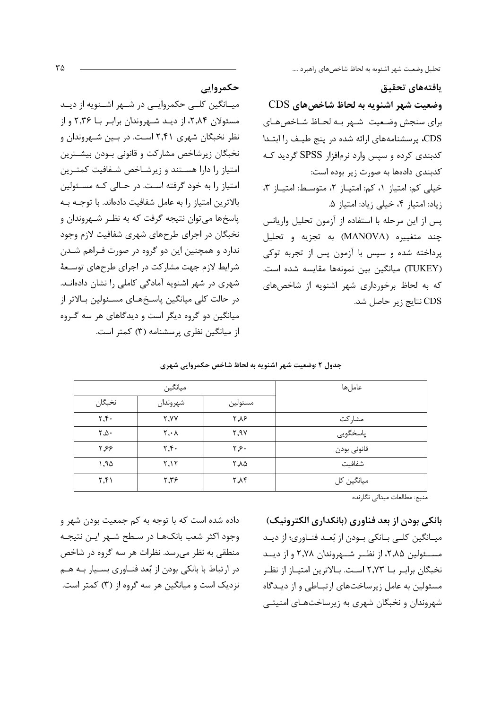تحليل وضعيت شهر اشنويه به لحاظ شاخصهاى راهبرد ....

يافتههاى تحقيق

وضعیت شهر اشنویه به لحاظ شاخصهای CDS برای سنجش وضعیت شـهر بـه لحـاظ شـاخصهـای CDS، پرسشنامههای ارائه شده در پنج طیـف را ابتـدا کدبندی کرده و سپس وارد نرمافزار SPSS گردید کـه كدبندي دادهها به صورت زير بوده است: خیلی کم: امتیاز ۱، کم: امتیاز ۲، متوسط: امتیاز ۳، زياد: امتياز ۴، خيلي زياد: امتياز ۵. پس از این مرحله با استفاده از آزمون تحلیل واریانس چند متغییره (MANOVA) به تجزیه و تحلیل پرداخته شده و سپس با آزمون پس از تجربه توکی (TUKEY) میانگین بین نمونهها مقایسه شده است. که به لحاظ برخورداری شهر اشنویه از شاخصهای CDS نتايج زير حاصل شد.

حكمروايي

میــانگین کلــی حکمروایــی در شــهر اشــنویه از دیــد مسئولان ۲٬۸۴، از دیـد شـهروندان برابـر بـا ۲٬۳۶ و از نظر نخبگان شهری ۲٫۴۱ است. در بـین شـهروندان و نخبگان زیرشاخص مشارکت و قانونی بودن بیشـترین امتیاز را دارا هستند و زیرشاخص شفافیت کمترین امتیاز را به خود گرفته است. در حـالی کـه مسـئولین بالاترین امتیاز را به عامل شفافیت دادهاند. با توجـه بـه پاسخها می توان نتیجه گرفت که به نظـر شـهروندان و نخبگان در اجرای طرحهای شهری شفافیت لازم وجود ندارد و همچنین این دو گروه در صورت فـراهم شـدن شرایط لازم جهت مشارکت در اجرای طرحهای توسـعهٔ شهری در شهر اشنویه آمادگی کاملی را نشان دادهانـد. در حالت کلی میانگین پاسخهای مسئولین بالاتر از میانگین دو گروه دیگر است و دیدگاهای هر سه گـروه از میانگین نظری پرسشنامه (۳) کمتر است.

جدول ۲ :وضعیت شهر اشنویه به لحاظ شاخص حکمروایی شهری

|                                    | ميانگين                        |                         | عاملها      |  |
|------------------------------------|--------------------------------|-------------------------|-------------|--|
| نخبگان                             | شهروندان                       | مسئولين                 |             |  |
| $\mathbf{y}, \mathbf{y}$           | Y, YY                          | ۲,۸۶                    | مشاركت      |  |
| $\mathsf{Y}$ , $\mathsf{\Delta}$ . | $\mathbf{Y}, \cdot \mathbf{A}$ | Y, Y                    | پاسخگويى    |  |
| ۲٫۶۶                               | $\mathbf{y}$                   | ۲٫۶۰                    | قانونى بودن |  |
| 1,90                               | Y, Y                           | ۲,۸۵                    | شفافيت      |  |
| $\mathbf{y},\mathbf{y}$            | 7,79                           | $\uparrow$ , $\uparrow$ | میانگین کل  |  |

بانکی بودن از بعد فناوری (بانکداری الکترونیک) میـانگین کلـی بـانکی بـودن از بُعـد فنـاوری؛ از دیـد مسئولین ۲٫۸۵، از نظـر شــهروندان ۲٫۷۸ و از دیــد نخبگان برابـر بــا ٢٫٧٣ اسـت. بــالاترين امتيــاز از نظـر مسئولین به عامل زیرساختهای ارتباطی و از دیـدگاه شهروندان و نخبگان شهری به زیرساختهـای امنیتـی

داده شده است که با توجه به کم جمعیت بودن شهر و وجود اکثر شعب بانک ها در سطح شـهر ايـن نتيجـه منطقی به نظر میرسد. نظرات هر سه گروه در شاخص در ارتباط با بانکی بودن از بُعد فنـاوری بسـيار بــه هــم نزدیک است و میانگین هر سه گروه از (۳) کمتر است.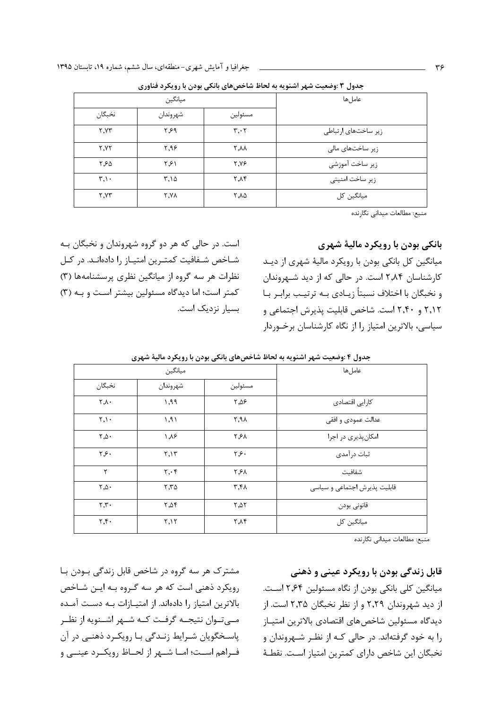|        | ميانگين  |                               | عاملها              |  |  |
|--------|----------|-------------------------------|---------------------|--|--|
| نخبگان | شهروندان | مسئولين                       |                     |  |  |
| Y.YY   | ۶۶۹      | $\mathbf{r} \cdot \mathbf{r}$ | زیر ساختهای ارتباطی |  |  |
| Y.YY   | 7.99     | ۲.۸۸                          | زیر ساختهای مالی    |  |  |
| ۲.۶۵   | ۲٫۶۱     | <b>7.YF</b>                   | زير ساخت آموزشي     |  |  |
| T.1    | ۳.۱۵     | <b>7.14</b>                   | زیر ساخت امنیتی     |  |  |
| Y.YY   | ۲.۷۸     | 7.۸۵                          | میانگین کل          |  |  |

جدول ۳ :وضعیت شهر اشنویه به لحاظ شاخصهای بانکی بودن با رویکرد فناوری

منبع: مطالعات ميداني نگارنده

#### بانکی بودن با رویکرد مالیهٔ شهری

میانگین کل بانکی بودن با رویکرد مالیهٔ شهری از دیـد کارشناسان ۲٬۸۴ است. در حالی که از دید شهروندان و نخبگان با اختلاف نسبتاً زیـادی بـه ترتیـب برابـر بـا ۲٬۱۲ و ۲٬۴۰ است. شاخص قابلیت پذیرش اجتماعی و سیاسی، بالاترین امتیاز را از نگاه کارشناسان برخوردار

است. در حالي كه هر دو گروه شهروندان و نخبگان بـه شـاخص شـفافيت كمتـرين امتيـاز را دادهانـد. در كـل نظرات هر سه گروه از میانگین نظری پرسشنامهها (۳) کمتر است؛ اما دیدگاه مسئولین بیشتر است و به (٣) بسیار نزدیک است.

| عاملها                       |                                  | ميانگين                       |                                                             |
|------------------------------|----------------------------------|-------------------------------|-------------------------------------------------------------|
|                              | مسئولين                          | شهروندان                      | نخبگان                                                      |
| کارایی اقتصادی               | 7,09                             | ۱,۹۹                          | $\mathsf{r}\xspace_{\mathsf{v}\xspace_{\mathsf{v}\xspace}}$ |
| عدالت عمودي و افقي           | $\uparrow$ , $\uparrow \uparrow$ | 1,91                          | $\mathbf{r},\mathbf{v}$ .                                   |
| امکانپذیری در اجرا           | ۲٫۶۸                             | $\lambda$ . $\lambda$ ۶       | $\mathsf{Y}.\Delta$                                         |
| ثبات در آمدی                 | ۶۶۰.                             | 5,15                          | ۶۶۰.                                                        |
| شفافيت                       | ٢٫۶٨                             | $\mathbf{y} \cdot \mathbf{y}$ | ٢                                                           |
| قابلیت پذیرش اجتماعی و سیاسی | ٣,۴٨                             | 5.70                          | $\mathsf{r} \cdot \mathsf{r} \cdot$                         |
| قانونى بودن                  | $\Gamma, \Delta \Gamma$          | $\Upsilon, \Delta \Upsilon$   | $\mathbf{r}.\mathbf{r}$ .                                   |
| میانگین کل                   | $\uparrow$ $\uparrow$ $\uparrow$ | 5,15                          | $\mathbf{r}$ , $\mathbf{r}$ .                               |

جدول ۴ :وضعیت شهر اشنویه به لحاظ شاخص های بانکی بودن با رویکرد مالیهٔ شهری

منبع: مطالعات میدانی نگارنده

## قابل زندگی بودن با رویکرد عینی و ذهنی

میانگین کلی بانکی بودن از نگاه مسئولین ۲٫۶۴ است. از دید شهروندان ۲٫۲۹ و از نظر نخبگان ۲٫۳۵ است. از ديدگاه مسئولين شاخص هاي اقتصادي بالاترين امتيـاز را به خود گرفتهاند. در حالی کـه از نظـر شـهروندان و نخبگان این شاخص دارای کمترین امتیاز است. نقطـهٔ

مشترک هر سه گروه در شاخص قابل زندگی بـودن بـا رویکرد ذهنی است که هر سه گـروه بـه ایـن شـاخص بالاترین امتیاز را دادهاند. از امتیـازات بـه دسـت آمـده مــیتـوان نتیجــه گرفــت کــه شــهر اشــنویه از نظــر پاسخگویان شرایط زندگی با رویکرد ذهنی در آن فـراهم اسـت؛ امـا شـهر از لحـاظ رويكـرد عينــى و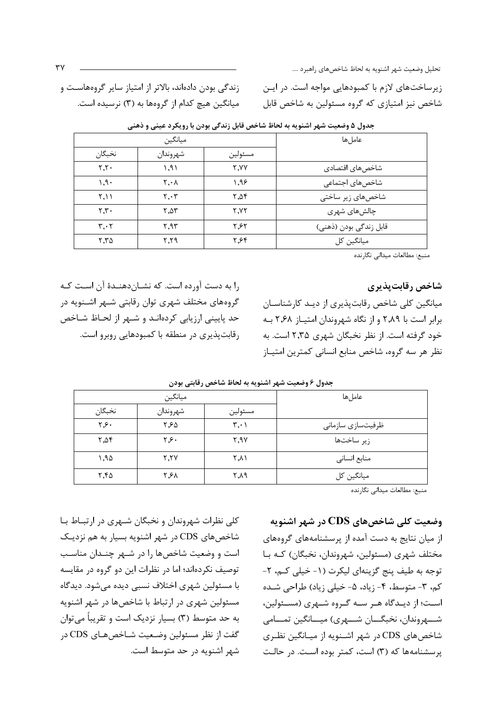تحليل وضعيت شهر اشنويه به لحاظ شاخصهاي راهبرد ....

زیرساختهای لازم با کمبودهایی مواجه است. در ایـن شاخص نیز امتیازی که گروه مسئولین به شاخص قابل

زندگی بودن دادهاند، بالاتر از امتیاز سایر گروههاسـت و میانگین هیچ کدام از گروهها به (۳) نرسیده است.

|                               | سن ٿين رت جي بر-ن ۽ رري-تر- ڪيڪي ر |             |                        |  |
|-------------------------------|------------------------------------|-------------|------------------------|--|
|                               | ميانگين                            |             | عاملها                 |  |
| نخبگان                        | شهروندان                           | مسئولين     |                        |  |
| Y.Y.                          | 1,91                               | <b>Y.YY</b> | شاخصهای اقتصادی        |  |
| $1.9 -$                       | $\mathsf{Y} \cdot \mathsf{Y}$      | ۹۶.۱        | شاخصهای اجتماعی        |  |
| ۲.۱۱                          | $\mathbf{Y} \cdot \mathbf{Y}$      | 7.08        | شاخصهای زیر ساختی      |  |
| Y.Y.                          | 7.27                               | <b>7.YY</b> | چالشهای شهری           |  |
| $\mathbf{r} \cdot \mathbf{r}$ | ۲.۹۳                               | ۲.۶۲        | قابل زندگی بودن (ذهنی) |  |
| 5.70                          | $Y, Y$ ۹                           | ۲٫۶۴        | میانگین کل             |  |

حدول ۵ وضعیت شهر اشنویه به لحاظ شاخص قابل زندگی بودن با رویکرد عینی و ذهنیر

منبع: مطالعات میدانی نگارنده

شاخص رقابت بذيري

میانگین کلی شاخص رقابتپذیری از دیـد کارشناسـان برابر است با ٢,٨٩ و از نگاه شهروندان امتياز ٢,۶٨ به خود گرفته است. از نظر نخبگان شهری ۲٫۳۵ است. به نظر هر سه گروه، شاخص منابع انسانی کمترین امتیـاز

را به دست آورده است. که نشـاندهنـدهٔ آن اسـت کـه گروههای مختلف شهری توان رقابتی شـهر اشـنویه در حد پایینی ارزیابی کردهانـد و شـهر از لحـاظ شـاخص رقابت پذیری در منطقه با کمبودهایی روبرو است.

|        | ميانگين  |                               | عاملها            |
|--------|----------|-------------------------------|-------------------|
| نخبگان | شهروندان | مسئولين                       |                   |
| ۲٫۶۰   | ۲,۶۵     | $\mathbf{r} \cdot \mathbf{v}$ | ظرفیتسازی سازمانی |
| 7,08   | ۲٫۶۰     | 7,9                           | زير ساختها        |
| ۱,۹۵   | Y, YY    | ۲٫۸۱                          | منابع انسانى      |
| ۲,۴۵   | ۲,۶۸     | ۴۸۹                           | میانگین کل        |

جدول ۶ وضعیت شهر اشنویه به لحاظ شاخص رقابتی بودن

منبع: مطالعات ميداني نگارنده

وضعیت کلی شاخصهای CDS در شهر اشنویه از میان نتایج به دست آمده از پرسشنامههای گروههای مختلف شهري (مسئولين، شهروندان، نخبگان) كـه بـا توجه به طيف پنج گزينهاي ليكرت (١- خيلي كـم، ٢-کم، ۳- متوسط، ۴- زیاد، ۵- خیلی زیاد) طراحی شده است؛ از دیـدگاه هـر سـه گـروه شـهری (مسـئولین، شهروندان، نخبگـــان شـــهري) ميـــانگين تمـــامي شاخصهای CDS در شهر اشـنویه از میـانگین نظـری پرسشنامهها که (۳) است، کمتر بوده است. در حالت

کلي نظرات شهروندان و نخبگان شـهري در ارتبــاط بــا شاخصهای CDS در شهر اشنویه بسیار به هم نزدیک است و وضعیت شاخصها را در شـهر چنـدان مناسـب توصیف نکردهاند؛ اما در نظرات این دو گروه در مقایسه با مسئولين شهري اختلاف نسبي ديده مي شود. ديدگاه مسئولین شهری در ارتباط با شاخصها در شهر اشنویه به حد متوسط (۳) بسیار نزدیک است و تقریباً میتوان گفت از نظر مسئولین وضعیت شـاخصهـای CDS در شهر اشنویه در حد متوسط است.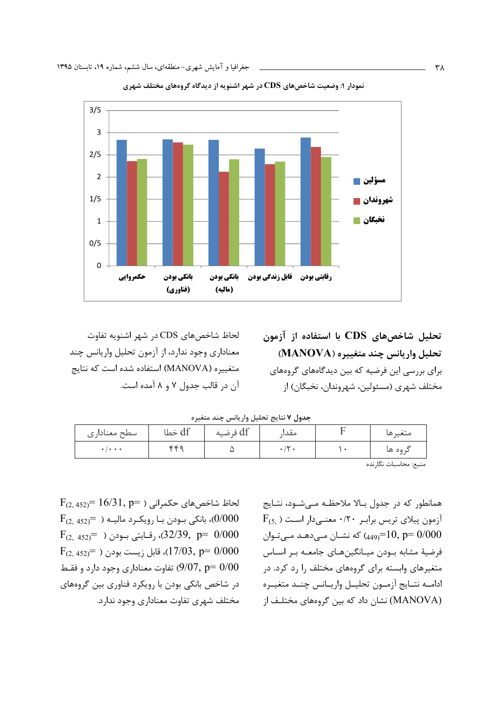

نمودار ۱: وضعیت شاخصهای CDS در شهر اشنویه از دیدگاه گروههای مختلف شهری

لحاظ شاخص های CDS در شهر اشنویه تفاوت معناداري وجود ندارد، از آزمون تحليل واريانس چند متغییره (MANOVA) استفاده شده است که نتایج آن در قالب جدول ۷ و ۸ آمده است. تحلیل شاخصهای CDS با استفاده از آزمون تحليل واريانس چند متغييره (MANOVA) برای بررسی این فرضیه که بین دیدگاههای گروههای مختلف شهري (مسئولين، شهروندان، نخبگان) از

جدول ٧ نتايج تحليل واريانس چند متغيره

| سطح معناداری                            | df خطا     | df فرضيه | $^{\tiny{++}}$<br>معدا | متعبرها |
|-----------------------------------------|------------|----------|------------------------|---------|
| $\bullet$ $\bullet$ $\bullet$ $\bullet$ | <b>cca</b> |          |                        | د ۵۵ ها |

منبع: محاسبات نگارنده

 $F_{(2.452)} = 16/31, p=$ لحاظ شاخص های حکمرانی ( F  $F_{(2, 452)}$ )، بانکی بـودن بـا رویکـرد مالیــه ( $\left(0/000\right)$  $F_{(2, 452)}$ رقـابتي بـودن (  $F_{(2, 452)}$ , وقـابتي بـودن (  $p = 0/000$  $F_{(2.452)}$ ، قابل زیست بودن ( $7/03$ , p= 0) تفاوت معناداری وجود دارد و فقـط (9/07, p=  $0/00$ در شاخص بانکی بودن با رویکرد فناوری بین گروههای مختلف شهری تفاوت معناداری وجود ندارد.

همانطور که در جدول بالا ملاحظـه مــ شـود، نتـايج  $F_{(5,.)}$  آزمون پیلای تریس برابر ۰/۲۰ معنے دار است که نشــان مــی،دهــد مــی،تــوان (449–449) که نشــان مــی،دهــد مــی،تــوان فرضیهٔ مشابه بودن میـانگینهـای جامعـه بـر اسـاس متغیرهای وابسته برای گروههای مختلف را رد کرد. در ادامــه نتــايج آزمــون تحليــل واريــانس چنــد متغيــره (MANOVA) نشان داد که بین گروههای مختلـف از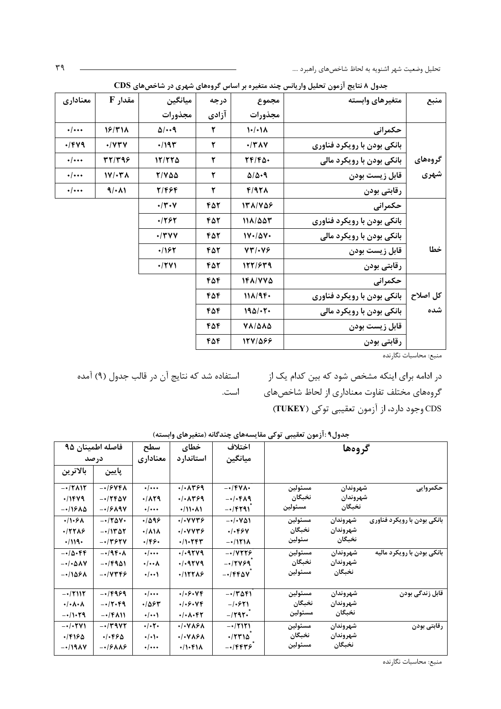تحلیل وضعیت شهر اشنویه به لحاظ شاخصهای راهبرد ….

| منبع     | متغيرهاي وابسته             | مجموع                     | درجه  | ميانگين           | 5 مقدار                  | معناداري       |
|----------|-----------------------------|---------------------------|-------|-------------------|--------------------------|----------------|
|          |                             | مجذورات                   | آزادی | مجذورات           |                          |                |
|          | حكمرانى                     | $1 - (-1)$                | ۲     | $\Delta$ /        | 18/٣١٨                   | $\cdot/\cdots$ |
|          | بانکی بودن با رویکرد فناوری | $\cdot$ /٣٨٧              | ٢     | $\cdot$ /19٣      | $\cdot$ / $\vee\vee\vee$ | $\cdot$ /۴۷۹   |
| گروههای  | بانکی بودن با رویکرد مالی   | $YF/F\Delta$              | ٢     | 17/770            | TT/T99                   | $\cdot/\cdots$ |
| شهري     | قابل زيست بودن              | $\Delta/\Delta$ .9        | ٢     | $Y/Y\Delta\Delta$ | $1V/\cdot Y$             | $\cdot/\cdots$ |
|          | رقابتي بودن                 | $F/97\lambda$             | ٢     | 2/464             | 9/11                     | $\cdot/\cdots$ |
|          | حكمرانى                     | 151/708                   | 451   | $\cdot$ /۳۰۷      |                          |                |
|          | بانکی بودن با رویکرد فناوری | 111/007                   | ۴۵٢   | .1787             |                          |                |
|          | بانکی بودن با رویکرد مالی   | $1V \cdot \Delta V \cdot$ | 451   | $\cdot$ /٣٧٧      |                          |                |
| خطا      | قابل زيست بودن              | $YY/\cdot Y5$             | 451   | 1162              |                          |                |
|          | رقابتي بودن                 | 127/879                   | 451   | $\cdot$ /٢٧١      |                          |                |
|          | حكمرانى                     | 181/770                   | 456   |                   |                          |                |
| كل اصلاح | بانکی بودن با رویکرد فناوری | 111/94.                   | 456   |                   |                          |                |
| شده      | بانکی بودن با رویکرد مالی   | 190/·7·                   | 456   |                   |                          |                |
|          | قابل زيست بودن              | <b>VA/444</b>             | ۴۵۴   |                   |                          |                |
|          | رقابتي بودن                 | 1271088                   | ۴۵۴   |                   |                          |                |

جدول ۸ نتایج آزمون تحلیل واریانس چند متغیره بر اساس گروههای شهری در شاخصهای CDS

منبع: محاسبات نگارنده

در ادامه برای اینکه مشخص شود که بین کدام یک از مسلس استفاده شد که نتایج آن در قالب جدول (۹) آمده گروههای مختلف تفاوت معناداری از لحاظ شاخصهای ماست. CDS وجود دارد، از آزمون تعقيبي توكي (TUKEY)

| جدوں ٦ : ارمون تعقیبی نو نی مقایسہھای چند ناته (منعیرهای وابسته) |          |         |                     |                             |                             |                      |                                   |  |
|------------------------------------------------------------------|----------|---------|---------------------|-----------------------------|-----------------------------|----------------------|-----------------------------------|--|
|                                                                  | گروهها   |         | اختلاف              | خطاي                        | سطح                         | فاصله اطمينان ۹۵     |                                   |  |
|                                                                  |          |         | ميانگين             | استاندار د                  | معناداري                    | در صد                |                                   |  |
|                                                                  |          |         |                     |                             |                             | پايين                | بالاترين                          |  |
| حكمروايي                                                         | شهروندان | مسئولين | $-\cdot$ /۴۷۸۰      | .1.1499                     | $\cdot$ / $\cdots$          | -016748              | $-17$<br>$\Lambda$                |  |
|                                                                  | شهروندان | نخبگان  | $-1.664$            | .1.1499                     | $\cdot$ /129                | $-1760V$             | $\cdot$ /1479                     |  |
|                                                                  | نخبگان   | مسئولين | $-1$ $F$ $T$ ۹۱     | $\cdot$ /11 $\cdot$ ۸1      | $\cdot/\cdots$              | $-1909$              | -01685                            |  |
| <del>بانک</del> ی بودن با رویکرد فناوری                          | شهروندان | مسئولين | $-1.44$             | .1.44479                    | .1099                       | $-170V$              | .11.5A                            |  |
|                                                                  | شهروندان | نخبگان  | .1.994              | .1.9999                     | $\cdot/\lambda$ 18          | $-11407$             | .177AB                            |  |
|                                                                  | نخبگان   | سئولين  | $-\cdot/171\lambda$ | $+11.797$                   | .189.                       | $-14984$             | $\cdot$ /119 $\cdot$              |  |
| بانکی بودن با رویکرد مالیه                                       | شهروندان | مسئولين | $-1$ $V$ $YY$       | .1.9719                     | $\cdot/\cdots$              | $-\cdot/9$ ۴۰۸       | $-10.699$                         |  |
|                                                                  | شهروندان | نخبگان  | $-17499$            | .49749                      | $\cdot/\cdot\cdot$ $\wedge$ | $-169$               | $-\cdot/\cdot\Delta\Lambda V$     |  |
|                                                                  | نخبگان   | مسئولين | $-1$ $FPAV$         | .117719                     | $\cdot$ / $\cdot\cdot$      | $-10005$             | $-11891$                          |  |
| قابل زندگی بودن                                                  | شهروندان | مسئولين | $-17091$            | .1.5.99                     | $\cdot$ / $\cdots$          | $-16999$             | $-\cdot/7$ 117                    |  |
|                                                                  | شهروندان | نخبگان  | $-1.571$            | .1.5.99                     | .1884                       | $-17.99$             | $\cdot/\cdot \wedge \cdot \wedge$ |  |
|                                                                  | نخبگان   | مسئولين | $-1595$             | $\cdot/\cdot \wedge\cdot f$ | $\cdot$ / $\cdot\cdot$      | $-\cdot$ /۴۸۱۱       | $-11.79$                          |  |
| رقابتی بودن                                                      | شهروندان | مسئولين | $-17171$            | .1.925A                     | $\cdot/\cdot7$              | $-14447$             | $-\cdot/\cdot \mathsf{YV}$        |  |
|                                                                  | شهروندان | نخبگان  | $\cdot$ /٢٣١۵       | .1.415A                     | $\cdot/\cdot$ ).            | .1.990               | .18180                            |  |
|                                                                  | نخبگان   | مسئولين | $-\cdot$ /۴۴۳۶      | $\cdot$ /1.418              | $\cdot/\cdots$              | $-19\lambda\lambda9$ | $-1/19AV$                         |  |

حدما فبأنوس تعقب توكى وقايسههام حندگانه (وتغيرهام واسته)

منبع: محاسبات نگارنده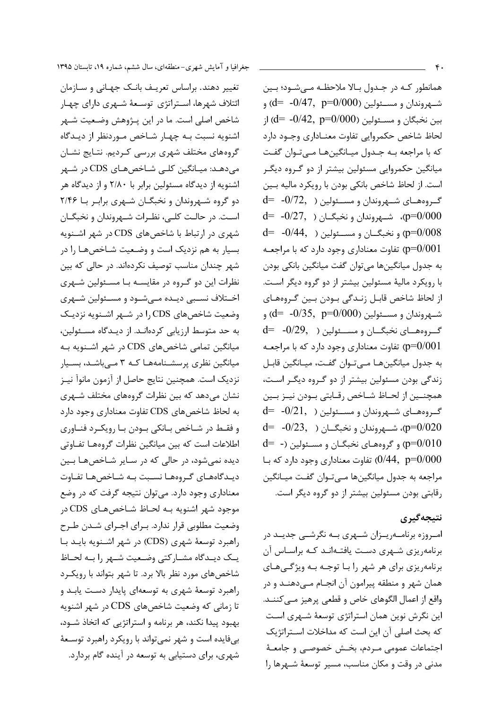همانطور کـه در جـدول بـالا ملاحظـه مـىشـود؛ بـين شــهروندان و مســئولين (2000–0 $\rm d$ – -0/47  $\rm d$ ) و  $d = -0/42$ , p=0/000) بين نخبگان و مسئولين لحاظ شاخص حكمروايي تفاوت معنـاداري وجـود دارد که با مراجعه بـه جـدول میـانگینهـا مـی تـوان گفـت میانگین حکمروایی مسئولین بیشتر از دو گـروه دیگـر است. از لحاظ شاخص بانکی بودن با رویکرد مالیه بـین  $d= -0/72, 0$ ) گروههای شــهروندان و مســئولین (  $d= -0/27$ , شهروندان و نخبگــان (  $-0/27$ , p=0 $\ell$ 000  $d= -0/44$ , و نخبگــان و مســئولين (  $-0/44$ -  $p=0/008$ تفاوت معناداری وجود دارد که با مراجعـه (p=0/001 به جدول میانگینها می توان گفت میانگین بانکی بودن با رویکرد مالیهٔ مسئولین بیشتر از دو گروه دیگر است. از لحاظ شاخص قابـل زنـدگی بـودن بـين گـروههـای شهروندان و مسئولين (2000–  $d = -0/35$ , p=0) و  $d= -0/29, 0$ ) گروههای نخبگــان و مســئولین تفاوت معناداری وجود دارد که با مراجعـه (p=0/001 به جدول ميانگينهـا مـيتـوان گفـت، ميـانگين قابـل زندگی بودن مسئولین بیشتر از دو گـروه دیگـر اسـت، همچنــين از لحــاظ شــاخص رقــابتي بــودن نيــز بــين  $d= -0/21$ , گروههای شـهروندان و مسـئولین (  $d= -1$  $d= -0/23$ , شـــهروندان و نخبگــان (  $-0/23$ -  $p=0/020$  $d=$  (p=0/010) و گروههای نخبگـان و مسـئولین (-  $d=$ تفاوت معناداری وجود دارد که با $(0/44, p=0/000)$ مراجعه به جدول میانگینها مےتوان گفت میـانگین رقابتی بودن مسئولین بیشتر از دو گروه دیگر است.

## نتىجەگىرى

امـروزه برنامــهريــزان شــهري بــه نگرشــي جديــد در برنامهریزی شهری دست یافتهاند کـه براسـاس آن برنامهریزی برای هر شهر را بـا توجـه بـه ویژگـیهـای همان شهر و منطقه پیرامون آن انجـام مـیدهنــد و در واقع از اعمال الگوهای خاص و قطعی پرهیز مـی کننــد. این نگرش نوین همان استراتژی توسعهٔ شـهری اسـت كه بحث اصلى آن اين است كه مداخلات استراتژيك اجتماعات عمومي مـردم، بخـش خصوصـى و جامعـهٔ مدنی در وقت و مکان مناسب، مسیر توسعهٔ شـهرها را

تغییر دهند. براساس تعریـف بانـک جهـانی و سـازمان ائتلاف شهرها، استراتژی توسعهٔ شهری دارای چهار شاخص اصلي است. ما در اين پــژوهش وضـعيت شــهر اشنویه نسبت بـه چهـار شـاخص مـوردنظر از دیـدگاه گروههای مختلف شهری بررسی کـردیم. نتـایج نشـان می دهـد: میـانگین کلـی شـاخصهـای CDS در شـهر اشنویه از دیدگاه مسئولین برابر با ۲/۸۰ و از دیدگاه هر دو گروه شـهروندان و نخبگــان شــهری برابـر بــا ۲/۴۶ است. در حالـت كلــي، نظــرات شــهروندان و نخبگــان شهری در ارتباط با شاخصهای CDS در شهر اشـنویه بسیار به هم نزدیک است و وضعیت شـاخصهـا را در شهر چندان مناسب توصیف نکردهاند. در حالی که بین نظرات این دو گـروه در مقایسـه بـا مسـئولین شـهری اخـتلاف نسـبي ديـده مـيشـود و مسـئولين شـهري وضعیت شاخص های CDS را در شـهر اشـنویه نزدیـک به حد متوسط ارزیابی کردهانـد. از دیـدگاه مسـئولین، میانگین تمامی شاخصهای CDS در شهر اشـنویه بـه میانگین نظری پرسشـنامههـا کـه ۳ مـی باشـد، بسـیار نزدیک است. همچنین نتایج حاصل از آزمون مانوآ نیـز نشان میدهد که بین نظرات گروههای مختلف شـهری به لحاظ شاخصهاي CDS تفاوت معناداري وجود دارد و فقـط در شـاخص بـانکی بـودن بـا رویکـرد فنـاوری اطلاعات است که بین میانگین نظرات گروههـا تفـاوتی ديده نمي شود، در حالي كه در سـاير شـاخصهـا بـين دیـدگاههـای گـروههـا نسـبت بـه شـاخصهـا تفـاوت معناداری وجود دارد. می توان نتیجه گرفت که در وضع موجود شهر اشنويه بـه لحـاظ شـاخصهـاى CDS در وضعیت مطلوبی قرار ندارد. بـرای اجـرای شـدن طـرح راهبرد توسعهٔ شهری (CDS) در شهر اشـنویه بایـد بـا یک دیبدگاه مشبارکتی وضعیت شبهر را ببه لحباظ شاخصهای مورد نظر بالا برد. تا شهر بتواند با رویک رد راهبرد توسعهٔ شهری به توسعهای پایدار دست یابـد و تا زمانی که وضعیت شاخصهای CDS در شهر اشنویه بهبود پیدا نکند، هر برنامه و استراتژیی که اتخاذ شـود، بیفایده است و شهر نمی تواند با رویکرد راهبرد توسعهٔ شهری، برای دستیابی به توسعه در آینده گام بردارد.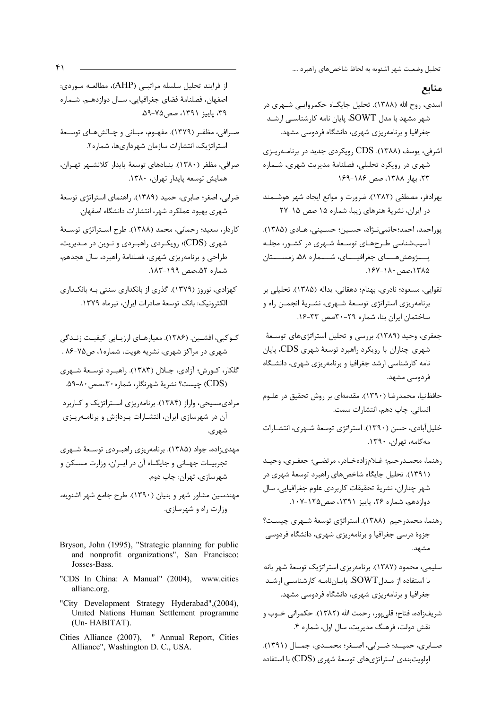تحلیل وضعیت شهر اشنویه به لحاظ شاخصهای راهبرد ….

#### منابع

- اسدی، روح الله (۱۳۸۸). تحلیل جایگـاه حکمروایـی شـهری در شهر مشهد با مدل SOWT. پایان نامه کارشناسـی ارشـد جغرافیا و برنامهریزی شهری، دانشگاه فردوسی مشهد.
- اشرفی، یوسف (۱۳۸۸). CDS رویکردی جدید در برنامـهریـزی شهری در رویکرد تحلیلی، فصلنامهٔ مدیریت شهری، شـماره ٢٣، بهار ١٣٨٨، صص ١٨۶-١٤٩
- بهزادفر، مصطفى (١٣٨٢). ضرورت و موانع ايجاد شهر هوشـمند در ایران، نشریهٔ هنرهای زیبا، شماره ۱۵ صص ۱۵-۲۷
- يوراحمد، احمد؛حاتمي نــرَّاد، حســين؛ حســيني، هــادي (١٣٨۵). آسیبشناسی طرحهای توسعهٔ شهری در کشور، مجله يـــــژوهش&ـــــاي جغرافيـــــاي، شـــــماره ۵۸، زمســـــتان ۱۳۸۵،صص ۱۸۰–۱۶۷.
- تقوايي، مسعود؛ نادري، بهنام؛ دهقاني، يداله (١٣٨۵). تحليلي بر برنامهریزی استراتژی توسعهٔ شهری، نشـریهٔ انجمـن راه و ساختمان ایران بنا، شماره ٢٩-٣٠صص ٣٣-١۶.
- جعفری، وحید (۱۳۸۹). بررسی و تحلیل استراتژیهای توسعهٔ شهری چناران با رویکرد راهبرد توسعهٔ شهری CDS، پایان نامه کارشناسی ارشد جغرافیا و برنامهریزی شهری، دانشگاه فردوسے مشهد.
- حافظنیا، محمدرضا (۱۳۹۰). مقدمهای بر روش تحقیق در علـوم انسانی، چاپ دهم، انتشارات سمت.
- خلیل آبادی، حسن (١٣٩٠). استراتژی توسعهٔ شـهری، انتشـارات مەكامە، تهران، ١٣٩٠.
- رهنما، محمـدرحيم؛ غـلامزادهخـادر، مرتضـى؛ جعفـرى، وحيـد (۱۳۹۱). تحلیل جایگاه شاخصهای راهبرد توسعهٔ شهری در شهر چناران، نشريهٔ تحقيقات كاربردي علوم جغرافيايي، سال دوازدهم، شماره ۲۶، پاییز ۱۳۹۱، صص۱۲۵–۱۰۷.
- رهنما، محمدر حیم (۱۳۸۸). استراتژی توسعهٔ شـهری چیسـت؟ جزوهٔ درسی جغرافیا و برنامهریزی شهری، دانشگاه فردوسی مشهد.
- سلیمی، محمود (۱۳۸۷). برنامهریزی استراتژیک توسعهٔ شهر بانه با استفاده از مـدل SOWT، پایـاننامـه کارشناسـی ارشـد جغرافیا و برنامهریزی شهری، دانشگاه فردوسی مشهد.
- شريف;اده، فتاح؛ قلي يور، رحمت الله (١٣٨٢). حكمراني خــوب و نقش دولت، فرهنگ مديريت، سال اول، شماره ۴.
- صبابري، حمينه؛ ضبرابي، اصبغر؛ محميدي، جميال (١٣٩١). اولویتبندی استراتژیهای توسعهٔ شهری (CDS) با استفاده

از فرایند تحلیل سلسله مراتبـی (AHP)، مطالعـه مـوردی: اصفهان، فصلنامهٔ فضای جغرافیایی، سـال دوازدهـم، شـماره ۳۹، پاییز ۱۳۹۱، صص۷۵–۵۹.

- صرافي، مظفـر (١٣٧٩). مفهـوم، مبـاني و چـالشهـاي توسـعهٔ استراتژیک، انتشارات سازمان شهرداریها، شماره۲.
- صرافي، مظفر (١٣٨٠). بنيادهاي توسعة پايدار كلانشهر تهران، همايش توسعه پايدار تهران، ١٣٨٠.
- ضرابي، اصغر؛ صابري، حميد (١٣٨٩). راهنماي استراتژي توسعهٔ شهری بهبود عملکرد شهر، انتشارات دانشگاه اصفهان.
- كاردار، سعيد؛ رحماني، محمد (١٣٨٨). طرح اسـتراتژي توسـعهٔ شهری (CDS)؛ رویکردی راهبـردی و نـوین در مـدیریت، طراحی و برنامهریزی شهری، فصلنامهٔ راهبرد، سال هجدهم، شماره ۵۲. مص ۱۹۹-۱۸۳.
- کهزادی، نوروز (۱۳۷۹). گذری از بانکداری سنتی بـه بانکـداری الكترونيك: بانك توسعةً صادرات ايران، تيرماه ١٣٧٩.
- کـوکبی، افشـین. (۱۳۸۶). معیارهـای ارزیـابی کیفیـت زنـدگی شهری در مراکز شهری، نشریه هویت، شماره ۱، ص۷۵-۸۶ .
- گلکار، کــورش؛ آزادي، جــلال (١٣٨٣). راهبــرد توســعهٔ شــهري (CDS) چیست؟ نشریهٔ شهرنگار، شماره۳۰،صص۴۰–۵۹.
- مرادی مسیحی، واراز (۱۳۸۴). برنامهریزی استراتژیک و کـاربرد آن در شهرسازی ایران، انتشـارات پـردازش و برنامـهریـزی شهر ی.
- مهدی;اده، جواد (۱۳۸۵). برنامه٫یزی ٫اهبردی توسـعهٔ شـهری تجربیـات جهـاني و جايگـاه آن در ايـران، وزارت مسـكن و شهرسازي، تهران: چاپ دوم.
- مهندسین مشاور شهر و بنیان (۱۳۹۰). طرح جامع شهر اشنویه، وزارت راه و شهرسازی.
- Bryson, John (1995), "Strategic planning for public and nonprofit organizations", San Francisco: Josses-Bass.
- "CDS In China: A Manual" (2004), www.cities allianc.org.
- "City Development Strategy Hyderabad", (2004), United Nations Human Settlement programme (Un-HABITAT).
- Cities Alliance (2007), " Annual Report, Cities Alliance", Washington D. C., USA.